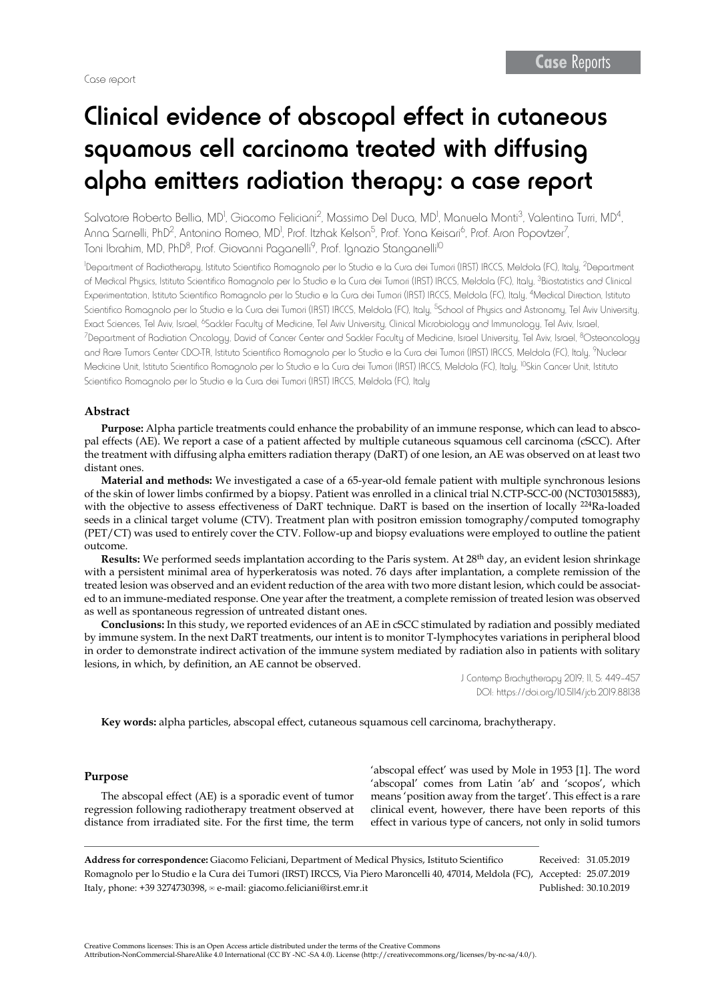## Clinical evidence of abscopal effect in cutaneous squamous cell carcinoma treated with diffusing alpha emitters radiation therapy: a case report

Salvatore Roberto Bellia, MD<sup>I</sup>, Giacomo Feliciani<sup>2</sup>, Massimo Del Duca, MD<sup>I</sup>, Manuela Monti<sup>3</sup>, Valentina Turri, MD<sup>4</sup>, Anna Sarnelli, PhD<sup>2</sup>, Antonino Romeo, MD<sup>1</sup>, Prof. Itzhak Kelson<sup>5</sup>, Prof. Yona Keisari<sup>6</sup>, Prof. Aron Popovtzer<sup>7</sup>, Toni Ibrahim, MD, PhD<sup>8</sup>, Prof. Giovanni Paganelli<sup>9</sup>, Prof. Ignazio Stanganelli<sup>10</sup>

1 Department of Radiotherapy, Istituto Scientifico Romagnolo per lo Studio e la Cura dei Tumori (IRST) IRCCS, Meldola (FC), Italy, 2Department of Medical Physics, Istituto Scientifico Romagnolo per lo Studio e la Cura dei Tumori (IRST) IRCCS, Meldola (FC), Italy, 3Biostatistics and Clinical Experimentation, Istituto Scientifico Romagnolo per lo Studio e la Cura dei Tumori (IRST) IRCCS, Meldola (FC), Italy, 4Medical Direction, Istituto Scientifico Romagnolo per lo Studio e la Cura dei Tumori (IRST) IRCCS, Meldola (FC), Italy, 5School of Physics and Astronomy, Tel Aviv University, Exact Sciences, Tel Aviv, Israel, <sup>6</sup>Sackler Faculty of Medicine, Tel Aviv University, Clinical Microbiology and Immunology, Tel Aviv, Israel, <sup>7</sup>Department of Radiation Oncology, David of Cancer Center and Sackler Faculty of Medicine, Israel University, Tel Aviv, Israel, <sup>8</sup>Osteoncology and Rare Tumors Center CDO-TR, Istituto Scientifico Romagnolo per lo Studio e la Cura dei Tumori (IRST) IRCCS, Meldola (FC), Italy, 9Nuclear Medicine Unit, Istituto Scientifico Romagnolo per lo Studio e la Cura dei Tumori (IRST) IRCCS, Meldola (FC), Italy, 10Skin Cancer Unit, Istituto Scientifico Romagnolo per lo Studio e la Cura dei Tumori (IRST) IRCCS, Meldola (FC), Italy

### **Abstract**

**Purpose:** Alpha particle treatments could enhance the probability of an immune response, which can lead to abscopal effects (AE). We report a case of a patient affected by multiple cutaneous squamous cell carcinoma (cSCC). After the treatment with diffusing alpha emitters radiation therapy (DaRT) of one lesion, an AE was observed on at least two distant ones.

**Material and methods:** We investigated a case of a 65-year-old female patient with multiple synchronous lesions of the skin of lower limbs confirmed by a biopsy. Patient was enrolled in a clinical trial N.CTP-SCC-00 (NCT03015883), with the objective to assess effectiveness of DaRT technique. DaRT is based on the insertion of locally <sup>224</sup>Ra-loaded seeds in a clinical target volume (CTV). Treatment plan with positron emission tomography/computed tomography (PET/CT) was used to entirely cover the CTV. Follow-up and biopsy evaluations were employed to outline the patient outcome.

**Results:** We performed seeds implantation according to the Paris system. At 28th day, an evident lesion shrinkage with a persistent minimal area of hyperkeratosis was noted. 76 days after implantation, a complete remission of the treated lesion was observed and an evident reduction of the area with two more distant lesion, which could be associated to an immune-mediated response. One year after the treatment, a complete remission of treated lesion was observed as well as spontaneous regression of untreated distant ones.

**Conclusions:** In this study, we reported evidences of an AE in cSCC stimulated by radiation and possibly mediated by immune system. In the next DaRT treatments, our intent is to monitor T-lymphocytes variations in peripheral blood in order to demonstrate indirect activation of the immune system mediated by radiation also in patients with solitary lesions, in which, by definition, an AE cannot be observed.

> J Contemp Brachytherapy 2019; 11, 5: 449–457 DOI: https://doi.org/10.5114/jcb.2019.88138

**Key words:** alpha particles, abscopal effect, cutaneous squamous cell carcinoma, brachytherapy.

### **Purpose**

The abscopal effect (AE) is a sporadic event of tumor regression following radiotherapy treatment observed at distance from irradiated site. For the first time, the term

'abscopal effect' was used by Mole in 1953 [\[1\]](https://www.ncbi.nlm.nih.gov/pubmed/13042090). The word 'abscopal' comes from Latin 'ab' and 'scopos', which means 'position away from the target'. This effect is a rare clinical event, however, there have been reports of this effect in various type of cancers, not only in solid tumors

**Address for correspondence:** Giacomo Feliciani, Department of Medical Physics, Istituto Scientifico Romagnolo per lo Studio e la Cura dei Tumori (IRST) IRCCS, Via Piero Maroncelli 40, 47014, Meldola (FC), Accepted: 25.07.2019 Italy, phone: +39 3274730398, e-mail: giacomo.feliciani@irst.emr.it Received: 31.05.2019 Published: 30.10.2019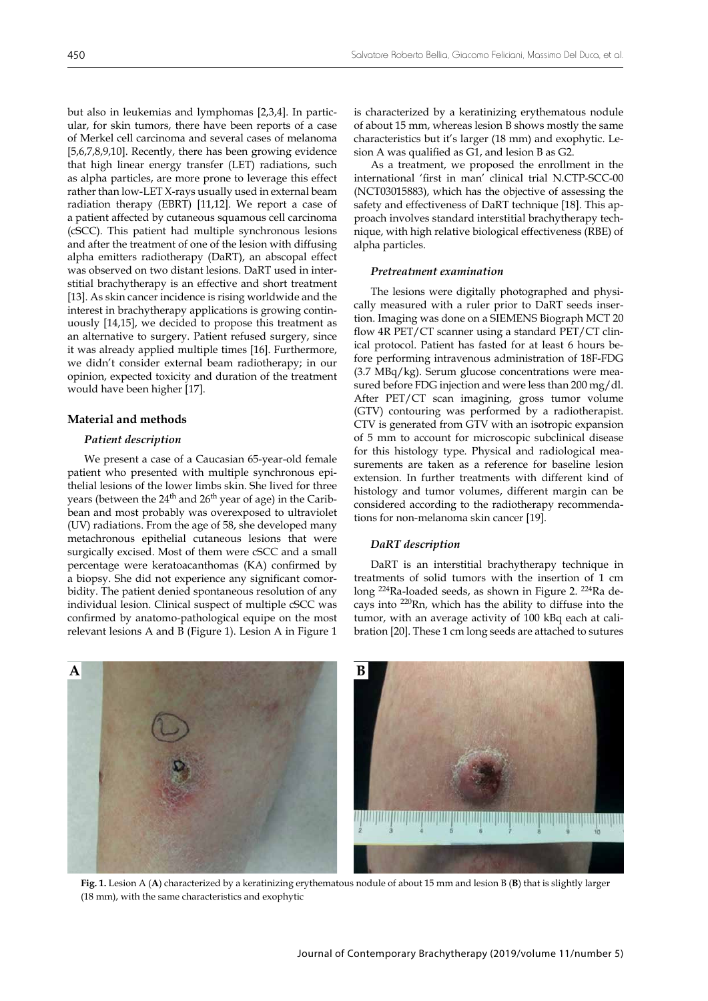but also in leukemias and lymphomas [\[2](https://www.ncbi.nlm.nih.gov/pubmed/26582738)[,3,](https://www.ncbi.nlm.nih.gov/pubmed/6185172)[4](https://www.ncbi.nlm.nih.gov/pubmed/23857404)]. In particular, for skin tumors, there have been reports of a case of Merkel cell carcinoma and several cases of melanoma [[5](https://www.ncbi.nlm.nih.gov/pubmed/21768497)[,6](https://www.ncbi.nlm.nih.gov/pubmed/25520039)[,7,](https://www.ncbi.nlm.nih.gov/pubmed/22560555)[8](https://www.ncbi.nlm.nih.gov/pubmed/24139999),[9](https://www.ncbi.nlm.nih.gov/pubmed/24661650)[,10](https://www.ncbi.nlm.nih.gov/pubmed/28109401)]. Recently, there has been growing evidence that high linear energy transfer (LET) radiations, such as alpha particles, are more prone to leverage this effect rather than low-LET X-rays usually used in external beam radiation therapy (EBRT) [[11,](https://www.ncbi.nlm.nih.gov/pubmed/28220126)[12](https://www.ncbi.nlm.nih.gov/pubmed/28275377)]. We report a case of a patient affected by cutaneous squamous cell carcinoma (cSCC). This patient had multiple synchronous lesions and after the treatment of one of the lesion with diffusing alpha emitters radiotherapy (DaRT), an abscopal effect was observed on two distant lesions. DaRT used in interstitial brachytherapy is an effective and short treatment [[13\]](https://www.ncbi.nlm.nih.gov/pubmed/29455924). As skin cancer incidence is rising worldwide and the interest in brachytherapy applications is growing continuously [\[14](https://www.ncbi.nlm.nih.gov/pubmed/30911310)[,15](https://www.ncbi.nlm.nih.gov/pubmed/29441092)], we decided to propose this treatment as an alternative to surgery. Patient refused surgery, since it was already applied multiple times [\[16](https://www.ncbi.nlm.nih.gov/pubmed/30314955)]. Furthermore, we didn't consider external beam radiotherapy; in our opinion, expected toxicity and duration of the treatment would have been higher [[17\]](https://www.ncbi.nlm.nih.gov/pubmed/29581964).

### **Material and methods**

### *Patient description*

We present a case of a Caucasian 65-year-old female patient who presented with multiple synchronous epithelial lesions of the lower limbs skin. She lived for three years (between the 24<sup>th</sup> and 26<sup>th</sup> year of age) in the Caribbean and most probably was overexposed to ultraviolet (UV) radiations. From the age of 58, she developed many metachronous epithelial cutaneous lesions that were surgically excised. Most of them were cSCC and a small percentage were keratoacanthomas (KA) confirmed by a biopsy. She did not experience any significant comorbidity. The patient denied spontaneous resolution of any individual lesion. Clinical suspect of multiple cSCC was confirmed by anatomo-pathological equipe on the most relevant lesions A and B (Figure 1). Lesion A in Figure 1

is characterized by a keratinizing erythematous nodule of about 15 mm, whereas lesion B shows mostly the same characteristics but it's larger (18 mm) and exophytic. Lesion A was qualified as G1, and lesion B as G2.

As a treatment, we proposed the enrollment in the international 'first in man' clinical trial N.CTP-SCC-00 (NCT03015883), which has the objective of assessing the safety and effectiveness of DaRT technique [\[18](https://clinicaltrials.gov/ct2/show/NCT03015883)]. This approach involves standard interstitial brachytherapy technique, with high relative biological effectiveness (RBE) of alpha particles.

### *Pretreatment examination*

The lesions were digitally photographed and physically measured with a ruler prior to DaRT seeds insertion. Imaging was done on a SIEMENS Biograph MCT 20 flow 4R PET/CT scanner using a standard PET/CT clinical protocol. Patient has fasted for at least 6 hours before performing intravenous administration of 18F-FDG (3.7 MBq/kg). Serum glucose concentrations were measured before FDG injection and were less than 200 mg/dl. After PET/CT scan imagining, gross tumor volume (GTV) contouring was performed by a radiotherapist. CTV is generated from GTV with an isotropic expansion of 5 mm to account for microscopic subclinical disease for this histology type. Physical and radiological measurements are taken as a reference for baseline lesion extension. In further treatments with different kind of histology and tumor volumes, different margin can be considered according to the radiotherapy recommendations for non-melanoma skin cancer [[19\]](https://www.ncbi.nlm.nih.gov/pubmed/22857860).

### *DaRT description*

DaRT is an interstitial brachytherapy technique in treatments of solid tumors with the insertion of 1 cm long <sup>224</sup>Ra-loaded seeds, as shown in Figure 2. <sup>224</sup>Ra decays into <sup>220</sup>Rn, which has the ability to diffuse into the tumor, with an average activity of 100 kBq each at calibration [\[20](https://www.ncbi.nlm.nih.gov/pubmed/20124656)]. These 1 cm long seeds are attached to sutures



**Fig. 1.** Lesion A (**A**) characterized by a keratinizing erythematous nodule of about 15 mm and lesion B (**B**) that is slightly larger (18 mm), with the same characteristics and exophytic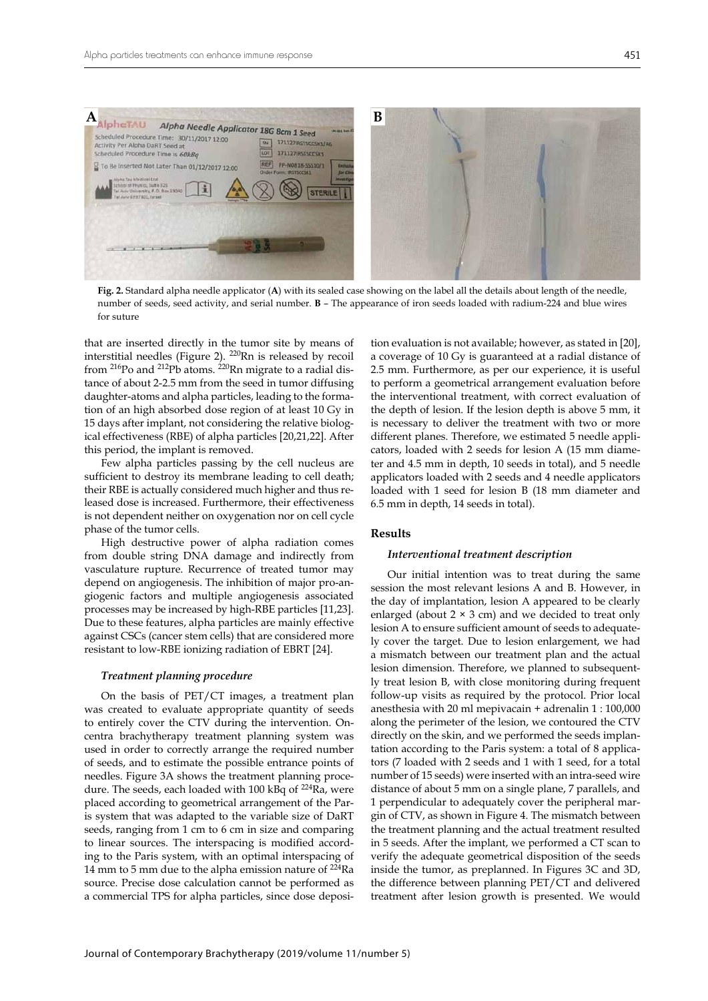

**Fig. 2.** Standard alpha needle applicator (**A**) with its sealed case showing on the label all the details about length of the needle, number of seeds, seed activity, and serial number. **B** – The appearance of iron seeds loaded with radium-224 and blue wires for suture

that are inserted directly in the tumor site by means of interstitial needles (Figure 2). 220Rn is released by recoil from 216Po and 212Pb atoms. 220Rn migrate to a radial distance of about 2-2.5 mm from the seed in tumor diffusing daughter-atoms and alpha particles, leading to the formation of an high absorbed dose region of at least 10 Gy in 15 days after implant, not considering the relative biological effectiveness (RBE) of alpha particles [[20](https://www.ncbi.nlm.nih.gov/pubmed/20124656)[,21](https://www.ncbi.nlm.nih.gov/pubmed/18059026)[,22](https://www.ncbi.nlm.nih.gov/pubmed/23225432)]. After this period, the implant is removed.

Few alpha particles passing by the cell nucleus are sufficient to destroy its membrane leading to cell death; their RBE is actually considered much higher and thus released dose is increased. Furthermore, their effectiveness is not dependent neither on oxygenation nor on cell cycle phase of the tumor cells.

High destructive power of alpha radiation comes from double string DNA damage and indirectly from vasculature rupture. Recurrence of treated tumor may depend on angiogenesis. The inhibition of major pro-angiogenic factors and multiple angiogenesis associated processes may be increased by high-RBE particles [\[11](https://www.ncbi.nlm.nih.gov/pubmed/28220126)[,23](https://www.ncbi.nlm.nih.gov/pubmed/22702646)]. Due to these features, alpha particles are mainly effective against CSCs (cancer stem cells) that are considered more resistant to low-RBE ionizing radiation of EBRT [[24\]](https://www.ncbi.nlm.nih.gov/pubmed/26904502).

### *Treatment planning procedure*

On the basis of PET/CT images, a treatment plan was created to evaluate appropriate quantity of seeds to entirely cover the CTV during the intervention. Oncentra brachytherapy treatment planning system was used in order to correctly arrange the required number of seeds, and to estimate the possible entrance points of needles. Figure 3A shows the treatment planning procedure. The seeds, each loaded with 100 kBq of <sup>224</sup>Ra, were placed according to geometrical arrangement of the Paris system that was adapted to the variable size of DaRT seeds, ranging from 1 cm to 6 cm in size and comparing to linear sources. The interspacing is modified according to the Paris system, with an optimal interspacing of 14 mm to 5 mm due to the alpha emission nature of  $224$ Ra source. Precise dose calculation cannot be performed as a commercial TPS for alpha particles, since dose deposition evaluation is not available; however, as stated in [\[20](https://www.ncbi.nlm.nih.gov/pubmed/20124656)], a coverage of 10 Gy is guaranteed at a radial distance of 2.5 mm. Furthermore, as per our experience, it is useful to perform a geometrical arrangement evaluation before the interventional treatment, with correct evaluation of the depth of lesion. If the lesion depth is above 5 mm, it is necessary to deliver the treatment with two or more different planes. Therefore, we estimated 5 needle applicators, loaded with 2 seeds for lesion A (15 mm diameter and 4.5 mm in depth, 10 seeds in total), and 5 needle applicators loaded with 2 seeds and 4 needle applicators loaded with 1 seed for lesion B (18 mm diameter and 6.5 mm in depth, 14 seeds in total).

### **Results**

### *Interventional treatment description*

Our initial intention was to treat during the same session the most relevant lesions A and B. However, in the day of implantation, lesion A appeared to be clearly enlarged (about  $2 \times 3$  cm) and we decided to treat only lesion A to ensure sufficient amount of seeds to adequately cover the target. Due to lesion enlargement, we had a mismatch between our treatment plan and the actual lesion dimension. Therefore, we planned to subsequently treat lesion B, with close monitoring during frequent follow-up visits as required by the protocol. Prior local anesthesia with 20 ml mepivacain + adrenalin 1 : 100,000 along the perimeter of the lesion, we contoured the CTV directly on the skin, and we performed the seeds implantation according to the Paris system: a total of 8 applicators (7 loaded with 2 seeds and 1 with 1 seed, for a total number of 15 seeds) were inserted with an intra-seed wire distance of about 5 mm on a single plane, 7 parallels, and 1 perpendicular to adequately cover the peripheral margin of CTV, as shown in Figure 4. The mismatch between the treatment planning and the actual treatment resulted in 5 seeds. After the implant, we performed a CT scan to verify the adequate geometrical disposition of the seeds inside the tumor, as preplanned. In Figures 3C and 3D, the difference between planning PET/CT and delivered treatment after lesion growth is presented. We would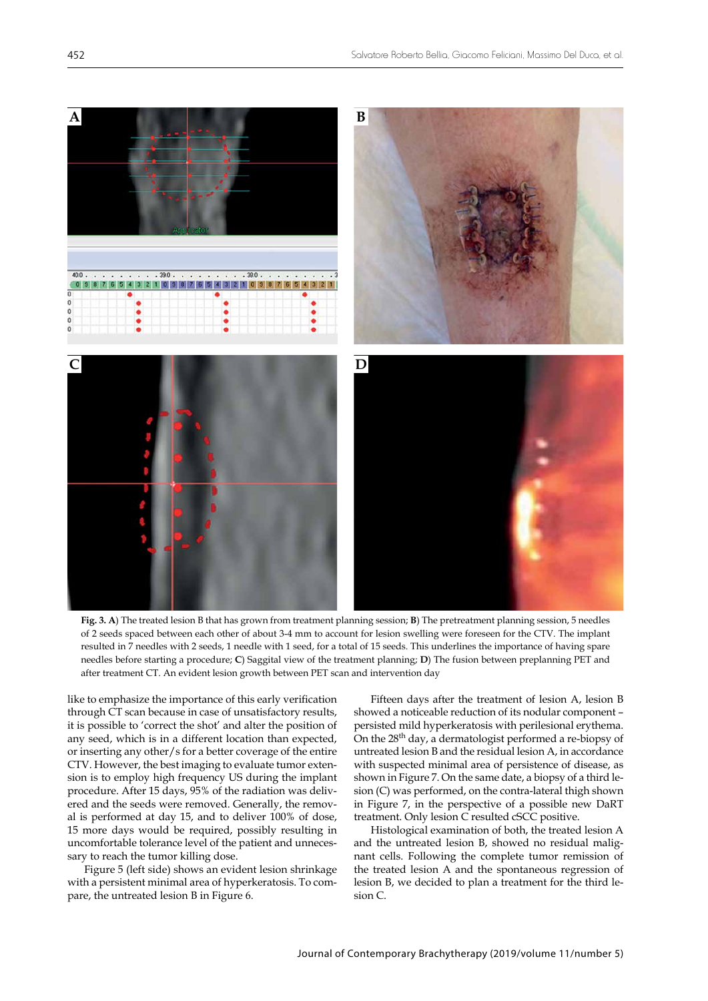

**Fig. 3. A**) The treated lesion B that has grown from treatment planning session; **B**) The pretreatment planning session, 5 needles of 2 seeds spaced between each other of about 3-4 mm to account for lesion swelling were foreseen for the CTV. The implant resulted in 7 needles with 2 seeds, 1 needle with 1 seed, for a total of 15 seeds. This underlines the importance of having spare needles before starting a procedure; **C**) Saggital view of the treatment planning; **D**) The fusion between preplanning PET and after treatment CT. An evident lesion growth between PET scan and intervention day

like to emphasize the importance of this early verification through CT scan because in case of unsatisfactory results, it is possible to 'correct the shot' and alter the position of any seed, which is in a different location than expected, or inserting any other/s for a better coverage of the entire CTV. However, the best imaging to evaluate tumor extension is to employ high frequency US during the implant procedure. After 15 days, 95% of the radiation was delivered and the seeds were removed. Generally, the removal is performed at day 15, and to deliver 100% of dose, 15 more days would be required, possibly resulting in uncomfortable tolerance level of the patient and unnecessary to reach the tumor killing dose.

Figure 5 (left side) shows an evident lesion shrinkage with a persistent minimal area of hyperkeratosis. To compare, the untreated lesion B in Figure 6.

Fifteen days after the treatment of lesion A, lesion B showed a noticeable reduction of its nodular component – persisted mild hyperkeratosis with perilesional erythema. On the 28th day, a dermatologist performed a re-biopsy of untreated lesion B and the residual lesion A, in accordance with suspected minimal area of persistence of disease, as shown in Figure 7. On the same date, a biopsy of a third lesion (C) was performed, on the contra-lateral thigh shown in Figure 7, in the perspective of a possible new DaRT treatment. Only lesion C resulted cSCC positive.

Histological examination of both, the treated lesion A and the untreated lesion B, showed no residual malignant cells. Following the complete tumor remission of the treated lesion A and the spontaneous regression of lesion B, we decided to plan a treatment for the third lesion C.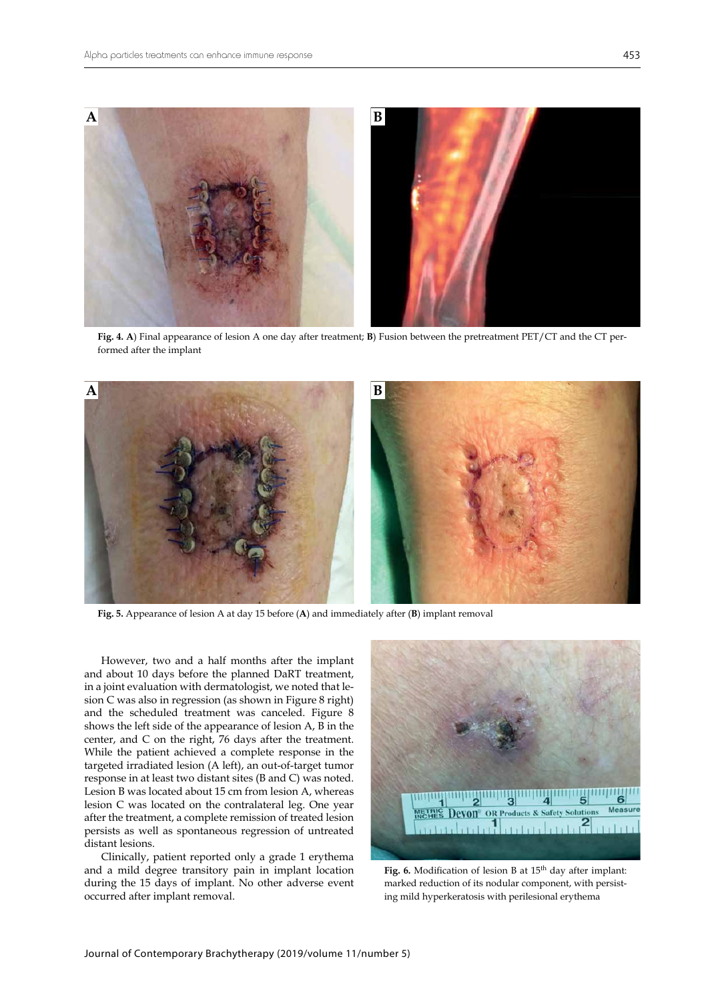

**Fig. 4. A**) Final appearance of lesion A one day after treatment; **B**) Fusion between the pretreatment PET/CT and the CT performed after the implant



**Fig. 5.** Appearance of lesion A at day 15 before (**A**) and immediately after (**B**) implant removal

However, two and a half months after the implant and about 10 days before the planned DaRT treatment, in a joint evaluation with dermatologist, we noted that lesion C was also in regression (as shown in Figure 8 right) and the scheduled treatment was canceled. Figure 8 shows the left side of the appearance of lesion A, B in the center, and C on the right, 76 days after the treatment. While the patient achieved a complete response in the targeted irradiated lesion (A left), an out-of-target tumor response in at least two distant sites (B and C) was noted. Lesion B was located about 15 cm from lesion A, whereas lesion C was located on the contralateral leg. One year after the treatment, a complete remission of treated lesion persists as well as spontaneous regression of untreated distant lesions.

Clinically, patient reported only a grade 1 erythema and a mild degree transitory pain in implant location during the 15 days of implant. No other adverse event occurred after implant removal.



Fig. 6. Modification of lesion B at 15<sup>th</sup> day after implant: marked reduction of its nodular component, with persisting mild hyperkeratosis with perilesional erythema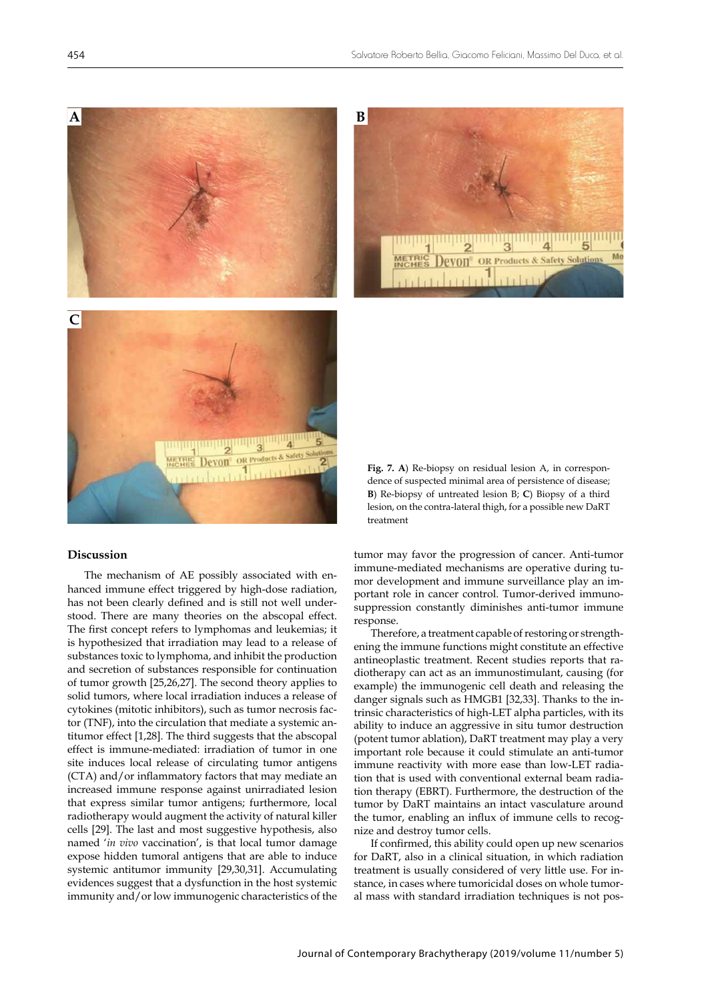

# **BOR Products & Safety Solut**

### **Discussion**

The mechanism of AE possibly associated with enhanced immune effect triggered by high-dose radiation, has not been clearly defined and is still not well understood. There are many theories on the abscopal effect. The first concept refers to lymphomas and leukemias; it is hypothesized that irradiation may lead to a release of substances toxic to lymphoma, and inhibit the production and secretion of substances responsible for continuation of tumor growth [[25](https://www.ncbi.nlm.nih.gov/pmc/articles/PMC2009962/)[,26](https://www.ncbi.nlm.nih.gov/pubmed/403163)[,27](https://www.ncbi.nlm.nih.gov/pubmed/7249526)]. The second theory applies to solid tumors, where local irradiation induces a release of cytokines (mitotic inhibitors), such as tumor necrosis factor (TNF), into the circulation that mediate a systemic antitumor effect [\[1,](https://www.ncbi.nlm.nih.gov/pubmed/13042090)[28](https://www.ncbi.nlm.nih.gov/pubmed/9824589)]. The third suggests that the abscopal effect is immune-mediated: irradiation of tumor in one site induces local release of circulating tumor antigens (CTA) and/or inflammatory factors that may mediate an increased immune response against unirradiated lesion that express similar tumor antigens; furthermore, local radiotherapy would augment the activity of natural killer cells [\[29](https://www.ncbi.nlm.nih.gov/pubmed/2482851)]. The last and most suggestive hypothesis, also named '*in vivo* vaccination', is that local tumor damage expose hidden tumoral antigens that are able to induce systemic antitumor immunity [[29](https://www.ncbi.nlm.nih.gov/pubmed/2482851)[,30](https://www.ncbi.nlm.nih.gov/pubmed/14967443)[,31](https://www.ncbi.nlm.nih.gov/pubmed/27814617)]. Accumulating evidences suggest that a dysfunction in the host systemic immunity and/or low immunogenic characteristics of the

**Fig. 7. A**) Re-biopsy on residual lesion A, in correspondence of suspected minimal area of persistence of disease; **B**) Re-biopsy of untreated lesion B; **C**) Biopsy of a third lesion, on the contra-lateral thigh, for a possible new DaRT treatment

tumor may favor the progression of cancer. Anti-tumor immune-mediated mechanisms are operative during tumor development and immune surveillance play an important role in cancer control. Tumor-derived immunosuppression constantly diminishes anti-tumor immune response.

Therefore, a treatment capable of restoring or strengthening the immune functions might constitute an effective antineoplastic treatment. Recent studies reports that radiotherapy can act as an immunostimulant, causing (for example) the immunogenic cell death and releasing the danger signals such as HMGB1 [\[32](https://www.ncbi.nlm.nih.gov/pubmed/19995238),[33\]](https://www.ncbi.nlm.nih.gov/pubmed/24480782). Thanks to the intrinsic characteristics of high-LET alpha particles, with its ability to induce an aggressive in situ tumor destruction (potent tumor ablation), DaRT treatment may play a very important role because it could stimulate an anti-tumor immune reactivity with more ease than low-LET radiation that is used with conventional external beam radiation therapy (EBRT). Furthermore, the destruction of the tumor by DaRT maintains an intact vasculature around the tumor, enabling an influx of immune cells to recognize and destroy tumor cells.

If confirmed, this ability could open up new scenarios for DaRT, also in a clinical situation, in which radiation treatment is usually considered of very little use. For instance, in cases where tumoricidal doses on whole tumoral mass with standard irradiation techniques is not pos-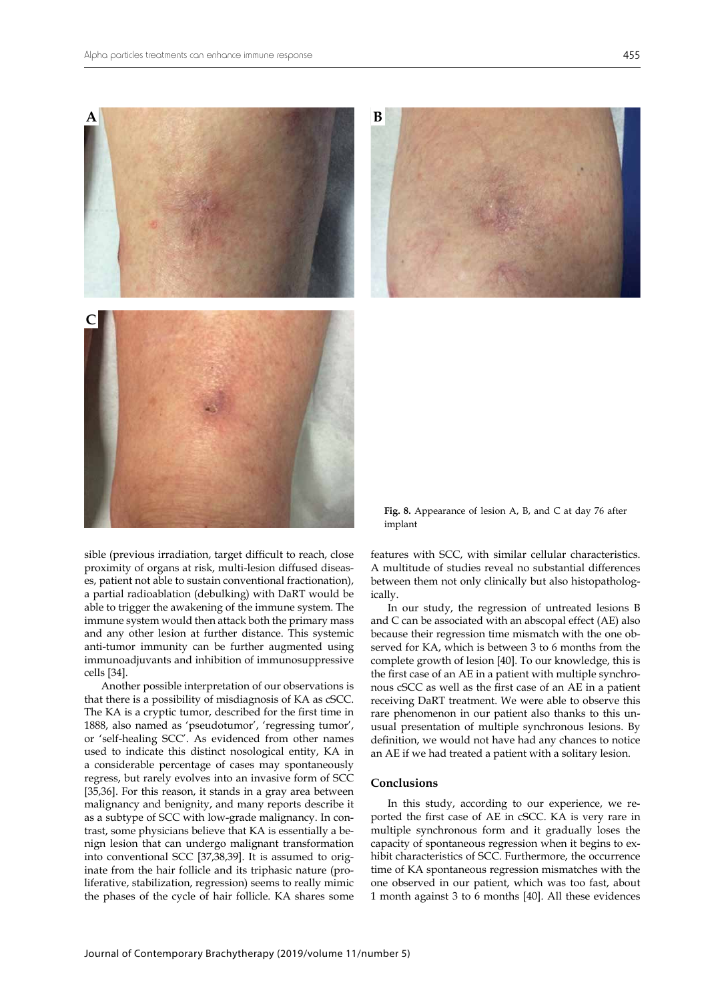

sible (previous irradiation, target difficult to reach, close proximity of organs at risk, multi-lesion diffused diseases, patient not able to sustain conventional fractionation), a partial radioablation (debulking) with DaRT would be able to trigger the awakening of the immune system. The immune system would then attack both the primary mass and any other lesion at further distance. This systemic anti-tumor immunity can be further augmented using immunoadjuvants and inhibition of immunosuppressive cells [\[34](https://www.ncbi.nlm.nih.gov/pubmed/27495172)].

Another possible interpretation of our observations is that there is a possibility of misdiagnosis of KA as cSCC. The KA is a cryptic tumor, described for the first time in 1888, also named as 'pseudotumor', 'regressing tumor', or 'self-healing SCC'. As evidenced from other names used to indicate this distinct nosological entity, KA in a considerable percentage of cases may spontaneously regress, but rarely evolves into an invasive form of SCC [[35,](https://www.ncbi.nlm.nih.gov/pubmed/10949454)[36](https://www.ncbi.nlm.nih.gov/pubmed/10021894)]. For this reason, it stands in a gray area between malignancy and benignity, and many reports describe it as a subtype of SCC with low-grade malignancy. In contrast, some physicians believe that KA is essentially a benign lesion that can undergo malignant transformation into conventional SCC [\[37](https://www.ncbi.nlm.nih.gov/pubmed/8214391)[,38](https://www.ncbi.nlm.nih.gov/pubmed/20043514),[39\]](https://www.ncbi.nlm.nih.gov/pubmed/20414090). It is assumed to originate from the hair follicle and its triphasic nature (proliferative, stabilization, regression) seems to really mimic the phases of the cycle of hair follicle. KA shares some

**Fig. 8.** Appearance of lesion A, B, and C at day 76 after implant

features with SCC, with similar cellular characteristics. A multitude of studies reveal no substantial differences between them not only clinically but also histopathologically.

In our study, the regression of untreated lesions B and C can be associated with an abscopal effect (AE) also because their regression time mismatch with the one observed for KA, which is between 3 to 6 months from the complete growth of lesion [[40\]](https://www.ncbi.nlm.nih.gov/pubmed/16630176). To our knowledge, this is the first case of an AE in a patient with multiple synchronous cSCC as well as the first case of an AE in a patient receiving DaRT treatment. We were able to observe this rare phenomenon in our patient also thanks to this unusual presentation of multiple synchronous lesions. By definition, we would not have had any chances to notice an AE if we had treated a patient with a solitary lesion.

### **Conclusions**

In this study, according to our experience, we reported the first case of AE in cSCC. KA is very rare in multiple synchronous form and it gradually loses the capacity of spontaneous regression when it begins to exhibit characteristics of SCC. Furthermore, the occurrence time of KA spontaneous regression mismatches with the one observed in our patient, which was too fast, about 1 month against 3 to 6 months [[40\]](https://www.ncbi.nlm.nih.gov/pubmed/16630176). All these evidences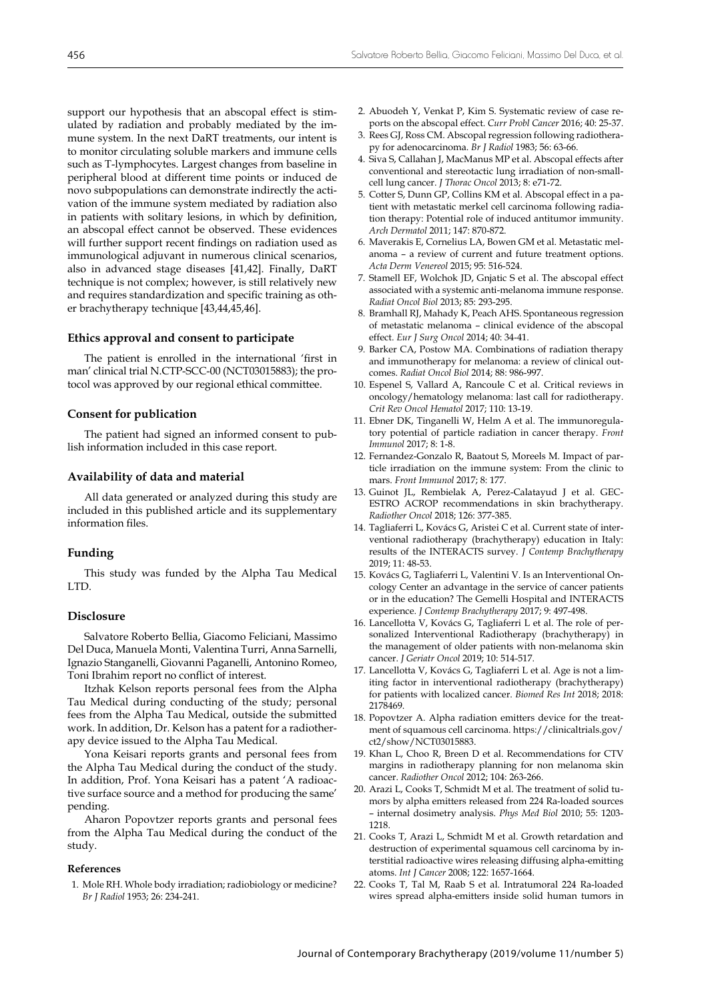support our hypothesis that an abscopal effect is stimulated by radiation and probably mediated by the immune system. In the next DaRT treatments, our intent is to monitor circulating soluble markers and immune cells such as T-lymphocytes. Largest changes from baseline in peripheral blood at different time points or induced de novo subpopulations can demonstrate indirectly the activation of the immune system mediated by radiation also in patients with solitary lesions, in which by definition, an abscopal effect cannot be observed. These evidences will further support recent findings on radiation used as immunological adjuvant in numerous clinical scenarios, also in advanced stage diseases [[41,](https://www.ncbi.nlm.nih.gov/pubmed/23112958)[42\]](https://www.ncbi.nlm.nih.gov/pubmed/30397353). Finally, DaRT technique is not complex; however, is still relatively new and requires standardization and specific training as other brachytherapy technique [[43,](https://www.ncbi.nlm.nih.gov/pubmed/30038646)[44](https://www.ncbi.nlm.nih.gov/pubmed/27648088)[,45](https://www.ncbi.nlm.nih.gov/pubmed/30038647)[,46](https://www.ncbi.nlm.nih.gov/pubmed/28725254)].

### **Ethics approval and consent to participate**

The patient is enrolled in the international 'first in man' clinical trial N.CTP-SCC-00 (NCT03015883); the protocol was approved by our regional ethical committee.

### **Consent for publication**

The patient had signed an informed consent to publish information included in this case report.

### **Availability of data and material**

All data generated or analyzed during this study are included in this published article and its supplementary information files.

### **Funding**

This study was funded by the Alpha Tau Medical LTD.

### **Disclosure**

Salvatore Roberto Bellia, Giacomo Feliciani, Massimo Del Duca, Manuela Monti, Valentina Turri, Anna Sarnelli, Ignazio Stanganelli, Giovanni Paganelli, Antonino Romeo, Toni Ibrahim report no conflict of interest.

Itzhak Kelson reports personal fees from the Alpha Tau Medical during conducting of the study; personal fees from the Alpha Tau Medical, outside the submitted work. In addition, Dr. Kelson has a patent for a radiotherapy device issued to the Alpha Tau Medical.

Yona Keisari reports grants and personal fees from the Alpha Tau Medical during the conduct of the study. In addition, Prof. Yona Keisari has a patent 'A radioactive surface source and a method for producing the same' pending.

Aharon Popovtzer reports grants and personal fees from the Alpha Tau Medical during the conduct of the study.

### **References**

1. [Mole RH. Whole body irradiation; radiobiology or medicine?](https://www.ncbi.nlm.nih.gov/pubmed/13042090) *Br J Radiol* [1953; 26: 234-241.](https://www.ncbi.nlm.nih.gov/pubmed/13042090)

- 2. [Abuodeh Y, Venkat P, Kim S. Systematic review of case re](https://www.ncbi.nlm.nih.gov/pubmed/26582738)[ports on the abscopal effect.](https://www.ncbi.nlm.nih.gov/pubmed/26582738) *Curr Probl Cancer* 2016; 40: 25-37.
- 3. [Rees GJ, Ross CM. Abscopal regression following radiothera](https://www.ncbi.nlm.nih.gov/pubmed/6185172)[py for adenocarcinoma.](https://www.ncbi.nlm.nih.gov/pubmed/6185172) *Br J Radiol* 1983; 56: 63-66.
- 4. [Siva S, Callahan J, MacManus MP et al. Abscopal effects after](https://www.ncbi.nlm.nih.gov/pubmed/23857404) [conventional and stereotactic lung irradiation of non-small](https://www.ncbi.nlm.nih.gov/pubmed/23857404)[cell lung cancer.](https://www.ncbi.nlm.nih.gov/pubmed/23857404) *J Thorac Oncol* 2013; 8: e71-72.
- 5. [Cotter S, Dunn GP, Collins KM et al. Abscopal effect in a](https://www.ncbi.nlm.nih.gov/pubmed/21768497) pa[tient with metastatic merkel cell carcinoma following radia](https://www.ncbi.nlm.nih.gov/pubmed/21768497)[tion therapy: Potential role of induced antitumor immunity.](https://www.ncbi.nlm.nih.gov/pubmed/21768497) *Arch Dermatol* [2011; 147: 870-872.](https://www.ncbi.nlm.nih.gov/pubmed/21768497)
- 6. [Maverakis E, Cornelius LA, Bowen GM et al. Metastatic mel](https://www.ncbi.nlm.nih.gov/pubmed/25520039)anoma – a [review of current and future treatment options.](https://www.ncbi.nlm.nih.gov/pubmed/25520039) *[Acta Derm Venereol](https://www.ncbi.nlm.nih.gov/pubmed/25520039)* 2015; 95: 516-524.
- 7. [Stamell EF, Wolchok JD, Gnjatic S et al. The abscopal effect](https://www.ncbi.nlm.nih.gov/pubmed/22560555) associated with a [systemic anti-melanoma immune response.](https://www.ncbi.nlm.nih.gov/pubmed/22560555) *Radiat Oncol Biol* [2013; 85: 293-295.](https://www.ncbi.nlm.nih.gov/pubmed/22560555)
- 8. [Bramhall RJ, Mahady K, Peach AHS. Spontaneous regression](https://www.ncbi.nlm.nih.gov/pubmed/24139999) [of metastatic melanoma – clinical evidence of the abscopal](https://www.ncbi.nlm.nih.gov/pubmed/24139999) effect. *[Eur J Surg Oncol](https://www.ncbi.nlm.nih.gov/pubmed/24139999)* 2014; 40: 34-41.
- 9. [Barker CA, Postow MA. Combinations of radiation therapy](https://www.ncbi.nlm.nih.gov/pubmed/24661650) [and immunotherapy for melanoma: a](https://www.ncbi.nlm.nih.gov/pubmed/24661650) review of clinical outcomes. *Radiat Oncol Biol* [2014; 88: 986-997](https://www.ncbi.nlm.nih.gov/pubmed/24661650).
- 10. [Espenel S, Vallard A, Rancoule C et al. Critical reviews in](https://www.ncbi.nlm.nih.gov/pubmed/28109401) [oncology/hematology melanoma: last call for radiotherapy.](https://www.ncbi.nlm.nih.gov/pubmed/28109401) *[Crit Rev Oncol Hematol](https://www.ncbi.nlm.nih.gov/pubmed/28109401)* 2017; 110: 13-19.
- 11. [Ebner DK, Tinganelli W, Helm A](https://www.ncbi.nlm.nih.gov/pubmed/28220126) et al. The immunoregula[tory potential of particle radiation in cancer therapy.](https://www.ncbi.nlm.nih.gov/pubmed/28220126) *Front Immunol* [2017; 8: 1-8.](https://www.ncbi.nlm.nih.gov/pubmed/28220126)
- 12. [Fernandez-Gonzalo R, Baatout S, Moreels M. Impact of par](https://www.ncbi.nlm.nih.gov/pubmed/28275377)[ticle irradiation on the immune system: From the clinic to](https://www.ncbi.nlm.nih.gov/pubmed/28275377) mars. *[Front Immunol](https://www.ncbi.nlm.nih.gov/pubmed/28275377)* 2017; 8: 177.
- 13. [Guinot JL, Rembielak A, Perez-Calatayud J et al. GEC-](https://www.ncbi.nlm.nih.gov/pubmed/29455924)[ESTRO ACROP recommendations in skin brachytherapy.](https://www.ncbi.nlm.nih.gov/pubmed/29455924) *Radiother Oncol* [2018; 126: 377-385](https://www.ncbi.nlm.nih.gov/pubmed/29455924).
- 14. [Tagliaferri L, Kovács G, Aristei C et al. Current state of inter](https://www.ncbi.nlm.nih.gov/pubmed/30911310)[ventional radiotherapy \(brachytherapy\) education in Italy:](https://www.ncbi.nlm.nih.gov/pubmed/30911310) [results of the INTERACTS survey.](https://www.ncbi.nlm.nih.gov/pubmed/30911310) *J Contemp Brachytherapy* [2019; 11: 48-53](https://www.ncbi.nlm.nih.gov/pubmed/30911310).
- 15. [Kovács G, Tagliaferri L, Valentini V. Is an Interventional On](https://www.ncbi.nlm.nih.gov/pubmed/29441092)[cology Center an advantage in the service of cancer patients](https://www.ncbi.nlm.nih.gov/pubmed/29441092) [or in the education? The Gemelli Hospital and INTERACTS](https://www.ncbi.nlm.nih.gov/pubmed/29441092) experience. *[J Contemp Brachytherapy](https://www.ncbi.nlm.nih.gov/pubmed/29441092)* 2017; 9: 497-498.
- 16. [Lancellotta V, Kovács G, Tagliaferri L et al. The role of per](https://www.ncbi.nlm.nih.gov/pubmed/30314955)[sonalized Interventional Radiotherapy \(brachytherapy\) in](https://www.ncbi.nlm.nih.gov/pubmed/30314955) [the management of older patients with non-melanoma skin](https://www.ncbi.nlm.nih.gov/pubmed/30314955) cancer. *J Geriatr Oncol* [2019; 10: 514-517.](https://www.ncbi.nlm.nih.gov/pubmed/30314955)
- 17. [Lancellotta V, Kovács G, Tagliaferri L et al. Age is not a](https://www.ncbi.nlm.nih.gov/pubmed/29581964) lim[iting factor in interventional radiotherapy \(brachytherapy\)](https://www.ncbi.nlm.nih.gov/pubmed/29581964) [for patients with localized cancer.](https://www.ncbi.nlm.nih.gov/pubmed/29581964) *Biomed Res Int* 2018; 2018: [2178469](https://www.ncbi.nlm.nih.gov/pubmed/29581964).
- 18. [Popovtzer A. Alpha radiation emitters device for the treat](https://clinicaltrials.gov/ct2/show/NCT03015883)[ment of squamous cell carcinoma.](https://clinicaltrials.gov/ct2/show/NCT03015883) https://clinicaltrials.gov/ ct2/show/NCT03015883.
- 19. [Khan L, Choo R, Breen D et al. Recommendations for CTV](https://www.ncbi.nlm.nih.gov/pubmed/22857860) [margins in radiotherapy planning for non melanoma skin](https://www.ncbi.nlm.nih.gov/pubmed/22857860) cancer. *Radiother Oncol* [2012; 104: 263-266](https://www.ncbi.nlm.nih.gov/pubmed/22857860).
- 20. [Arazi L, Cooks T, Schmidt M et al. The treatment of solid tu](https://www.ncbi.nlm.nih.gov/pubmed/20124656)[mors by alpha emitters released from 224 Ra-loaded sources](https://www.ncbi.nlm.nih.gov/pubmed/20124656) [– internal dosimetry analysis.](https://www.ncbi.nlm.nih.gov/pubmed/20124656) *Phys Med Biol* 2010; 55: 1203- [1218](https://www.ncbi.nlm.nih.gov/pubmed/20124656).
- 21. [Cooks T, Arazi L, Schmidt M et al. Growth retardation and](https://www.ncbi.nlm.nih.gov/pubmed/18059026) [destruction of experimental squamous cell carcinoma by in](https://www.ncbi.nlm.nih.gov/pubmed/18059026)[terstitial radioactive wires releasing diffusing alpha-emitting](https://www.ncbi.nlm.nih.gov/pubmed/18059026) atoms. *Int J Cancer* [2008; 122: 1657-1664.](https://www.ncbi.nlm.nih.gov/pubmed/18059026)
- 22. [Cooks T, Tal M, Raab S et al. Intratumoral 224 Ra-loaded](https://www.ncbi.nlm.nih.gov/pubmed/23225432) [wires spread alpha-emitters inside solid human tumors in](https://www.ncbi.nlm.nih.gov/pubmed/23225432)